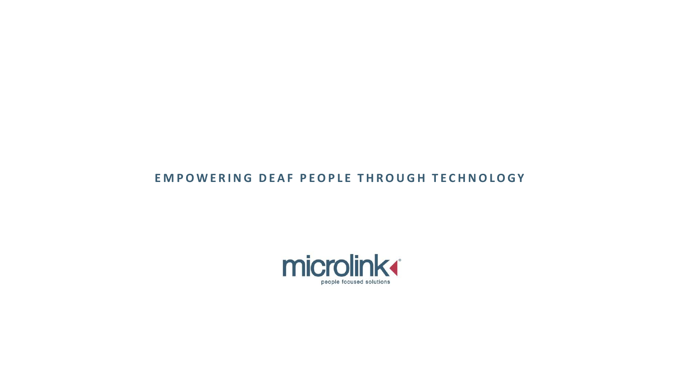#### EMPOWERING DEAF PEOPLE THROUGH TECHNOLOGY

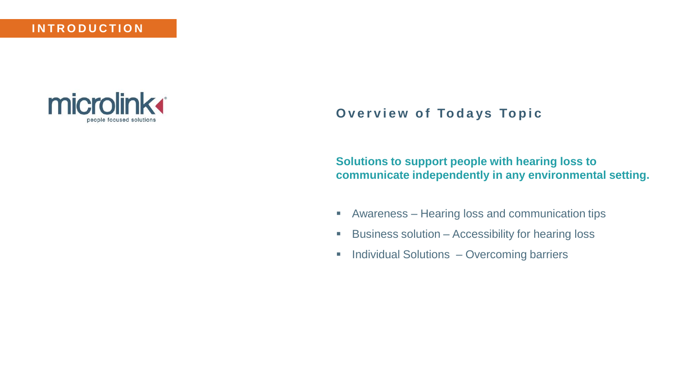#### **I N T R O D U C T I O N**



## **Overview of Todays Topic**

**Solutions to support people with hearing loss to communicate independently in any environmental setting.** 

- Awareness Hearing loss and communication tips
- Business solution Accessibility for hearing loss
- **Individual Solutions Overcoming barriers**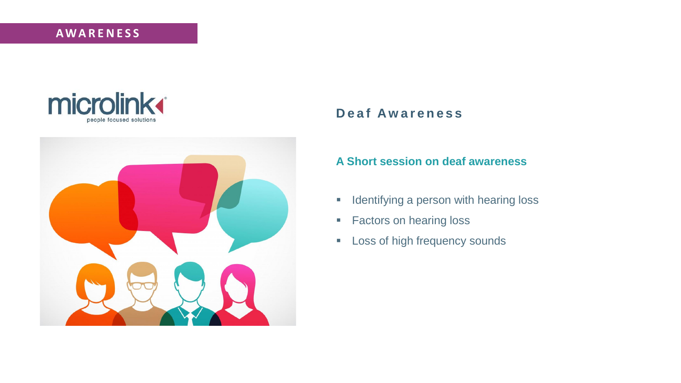



Deaf awareness

#### Deaf Awareness

#### **A Short session on deaf awareness**

- **EXEDENT** Identifying a person with hearing loss
- Factors on hearing loss
- **Example 1** Loss of high frequency sounds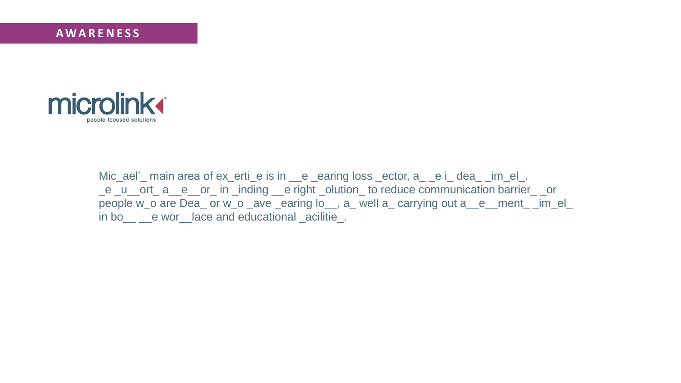

High frequency hearing loss in the problem of the control of the control of the control of the control of the<br>High frequency hearing loss in the control of the control of the control of the control of the control of the<br>Hi

Mic\_ael' main area of ex\_erti\_e is in \_\_e \_earing loss \_ector, a\_ \_e i\_ dea\_ \_im\_el\_. \_e \_u\_\_ort\_ a\_\_e\_\_or\_ in \_inding \_\_e right \_olution\_ to reduce communication barrier\_ \_or people w\_o are Dea\_ or w\_o \_ave \_earing lo\_\_, a\_ well a\_ carrying out a\_\_e\_\_ment\_ \_im\_el\_ in bo\_\_ \_\_e wor\_\_lace and educational \_acilitie\_.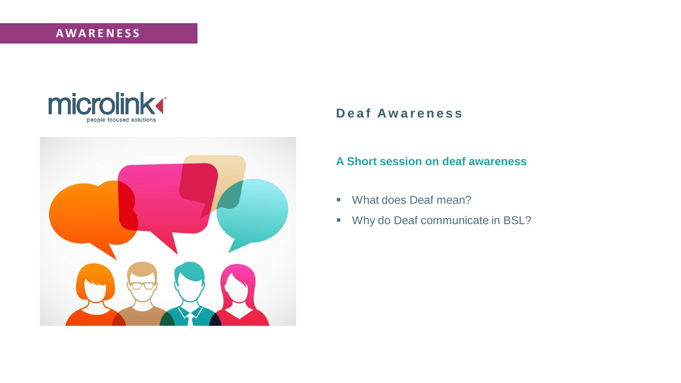



A short session on deaf awareness

#### Deaf Awareness

#### **A Short session on deaf awareness**

- What does Deaf mean?
- Why do Deaf communicate in BSL?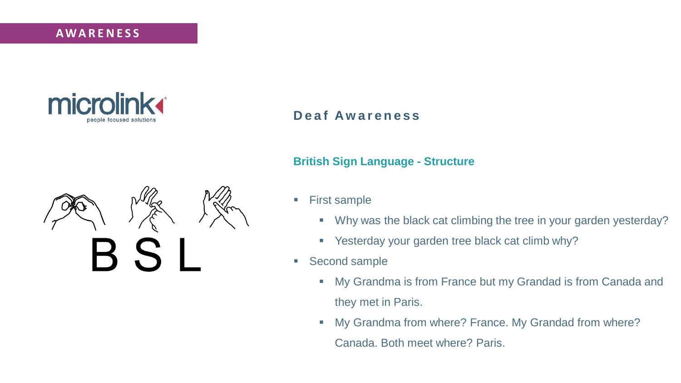# **British Sign Language - Structure A W A R E N E S S**



# **D e a f A w a r e n e s s**

# $\mathsf B\mathrel S$

#### **British Sign Language - Structure**

- First sample
	- Why was the black cat climbing the tree in your garden yesterday?
	- Yesterday your garden tree black cat climb why?
- Second sample
	- **■** My Grandma is from France but my Grandad is from Canada and they met in Paris.
	- My Grandma from where? France. My Grandad from where? Canada. Both meet where? Paris.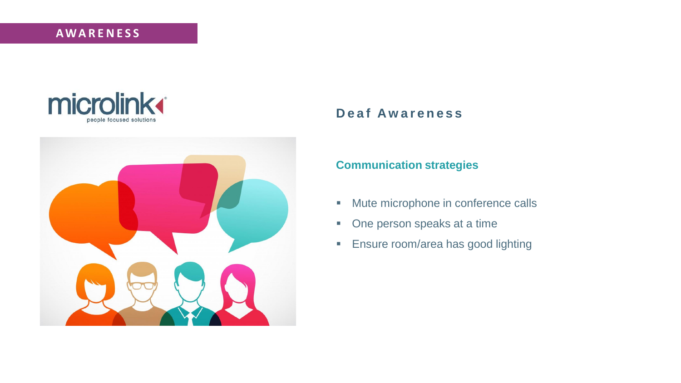



#### Deaf Awareness

#### **Communication strategies**

- Mute microphone in conference calls
- One person speaks at a time
- **Ensure room/area has good lighting**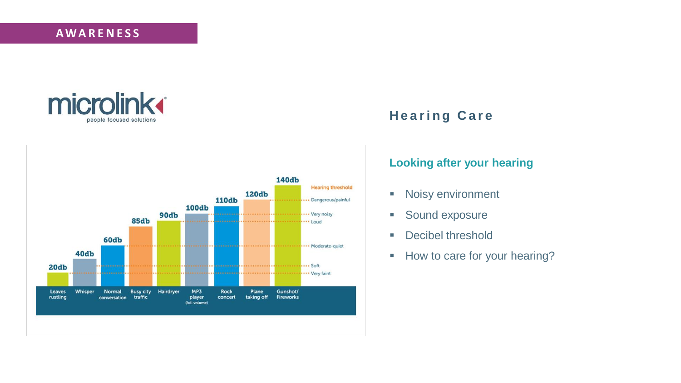# **Looking after your hearing A W A R E N E S S**





# **H e a r i n g C a r e**

#### **Looking after your hearing**

- Noisy environment
- Sound exposure
- Decibel threshold
- How to care for your hearing?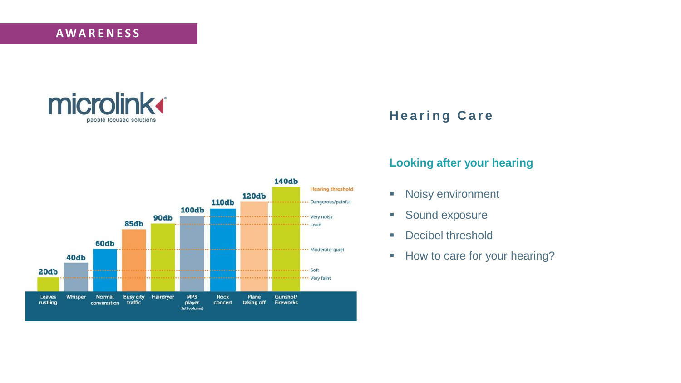

Hearing care



# **H e a r i n g C a r e**

#### **Looking after your hearing**

- Noisy environment
- Sound exposure
- Decibel threshold
- **E** How to care for your hearing?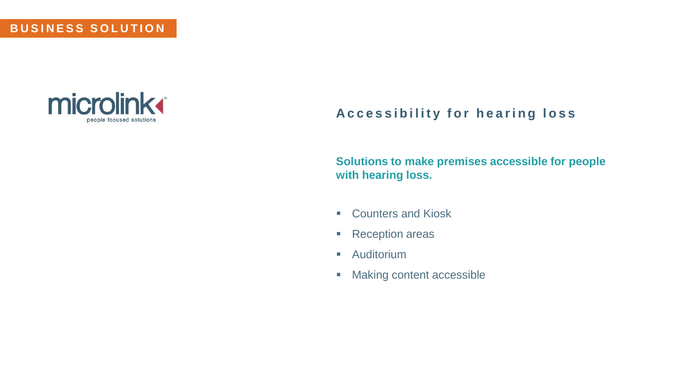#### **BUSINESS SOLUTION**



# Accessibility for hearing loss

**Solutions to make premises accessible for people with hearing loss.**

- Counters and Kiosk
- Reception areas
- Auditorium
- Making content accessible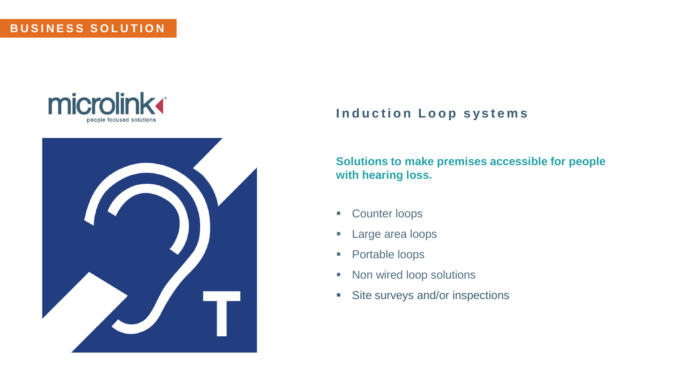#### **BUSINESS SOLUTION**





#### **Induction Loop systems**

#### **Solutions to make premises accessible for people with hearing loss.**

- Counter loops
- **Large area loops**
- Portable loops
- Non wired loop solutions
- Site surveys and/or inspections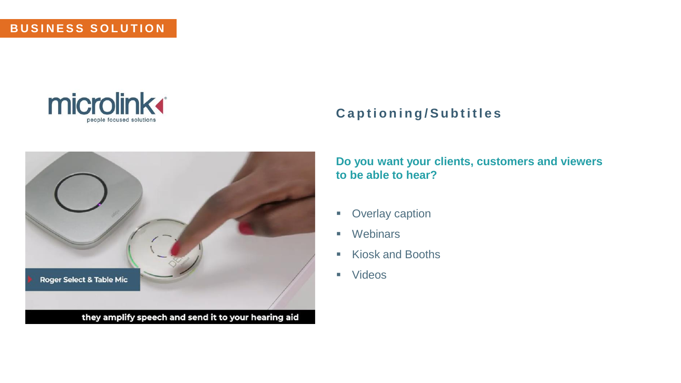#### **B U S I N E S S S O L U T I O N**





# **C a p t i o n i n g / S u b t i t l e s**

**Do you want your clients, customers and viewers to be able to hear?**

- Overlay caption
- Webinars
- Kiosk and Booths
- Videos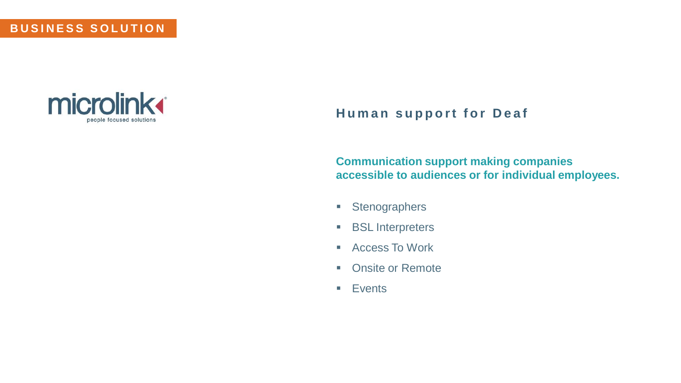#### **BUSINESS SOLUTION**



# **Human support for Deaf**

**Communication support making companies accessible to audiences or for individual employees.**

- Stenographers
- BSL Interpreters
- Access To Work
- Onsite or Remote
- Events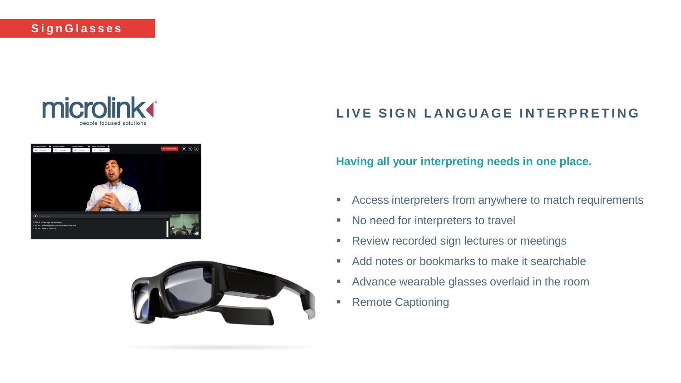





# LIVE SIGN LANGUAGE INTERPRETING

#### **Having all your interpreting needs in one place.**

- **EXP** Access interpreters from anywhere to match requirements
- No need for interpreters to travel
- Review recorded sign lectures or meetings
- Add notes or bookmarks to make it searchable
- Advance wearable glasses overlaid in the room
- Remote Captioning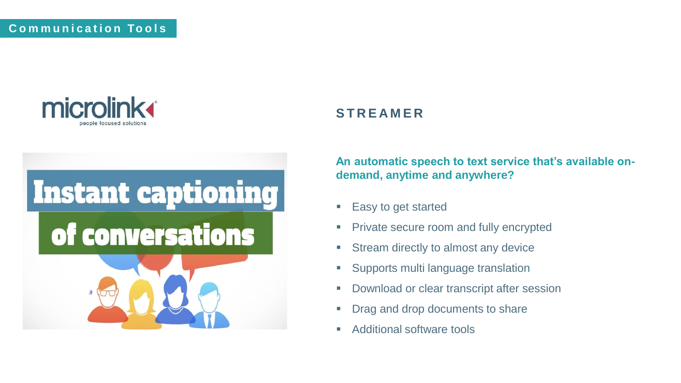



# **S T R E A M E R**

**An automatic speech to text service that's available ondemand, anytime and anywhere?**

- Easy to get started
- **Private secure room and fully encrypted**
- Stream directly to almost any device
- Supports multi language translation
- Download or clear transcript after session
- **Drag and drop documents to share**
- Additional software tools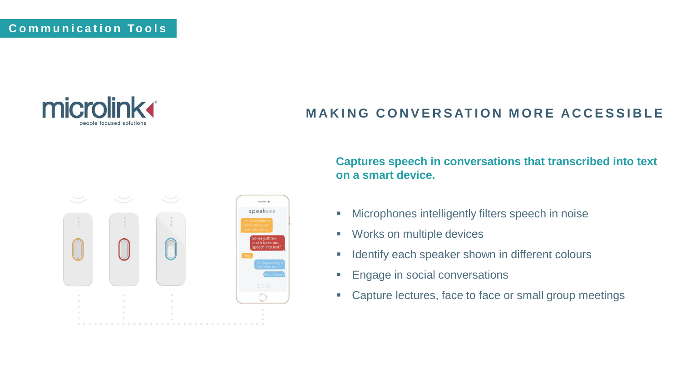

# **MAKING CONVERSATION MORE ACCESSIBLE**



#### **Captures speech in conversations that transcribed into text on a smart device.**

- **■** Microphones intelligently filters speech in noise
- Works on multiple devices
- **EXEDENTIFY EACH SPEAKER Shown in different colours**
- **Engage in social conversations**
- Capture lectures, face to face or small group meetings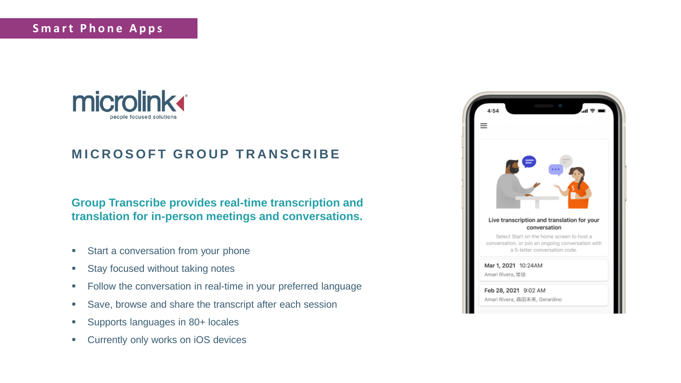

# **MICROSOFT GROUP TRANSCRIBE**

#### **Group Transcribe provides real-time transcription and translation for in-person meetings and conversations.**

- Start a conversation from your phone
- Stay focused without taking notes
- Follow the conversation in real-time in your preferred language
- Save, browse and share the transcript after each session
- Supports languages in 80+ locales
- Currently only works on iOS devices

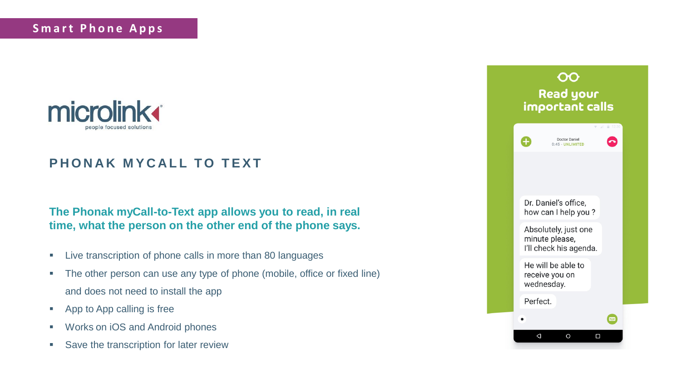

# **PHONAK MYCALL TO TEXT**

#### **The Phonak myCall-to-Text app allows you to read, in real time, what the person on the other end of the phone says.**

- Live transcription of phone calls in more than 80 languages
- **•** The other person can use any type of phone (mobile, office or fixed line) and does not need to install the app
- App to App calling is free
- Works on iOS and Android phones
- Save the transcription for later review

| <b>Read your</b><br>important calls |                                                                  |                                         |
|-------------------------------------|------------------------------------------------------------------|-----------------------------------------|
|                                     | <b>Doctor Daniel</b><br>0:45 - UNLIMITED                         | ■ 12:30<br>$\overline{\mathbf{v}}$<br>A |
|                                     |                                                                  |                                         |
|                                     | Dr. Daniel's office,<br>how can I help you?                      |                                         |
|                                     | Absolutely, just one<br>minute please,<br>I'll check his agenda. |                                         |
|                                     | He will be able to<br>receive you on<br>wednesday.               |                                         |
| Perfect.                            |                                                                  |                                         |
|                                     |                                                                  |                                         |
| Δ                                   |                                                                  | □                                       |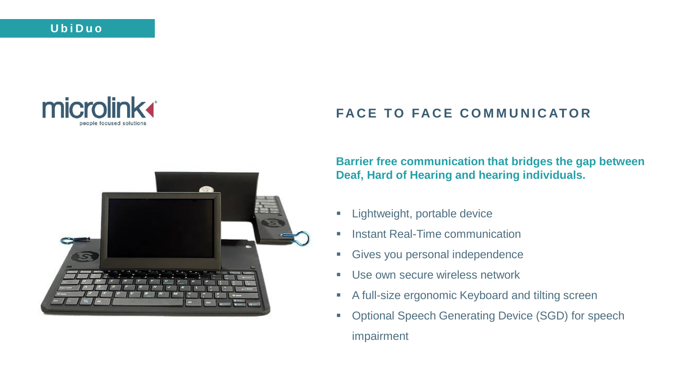



# **FACE TO FACE COMMUNICATOR**

**Barrier free communication that bridges the gap between Deaf, Hard of Hearing and hearing individuals.**

- **E** Lightweight, portable device
- **■** Instant Real-Time communication
- **EXECT:** Gives you personal independence
- **Use own secure wireless network**
- A full-size ergonomic Keyboard and tilting screen
- Optional Speech Generating Device (SGD) for speech impairment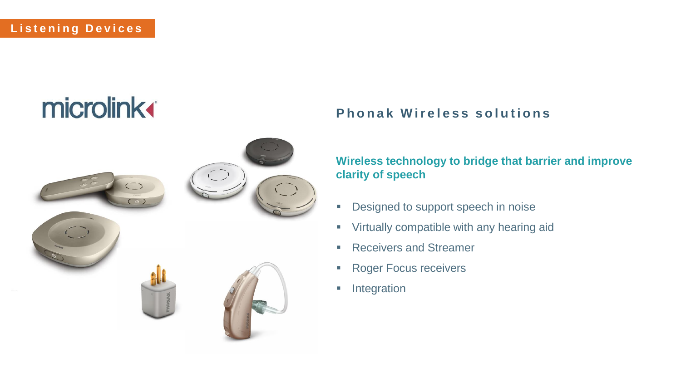# **microlink**



# **Phonak Wireless solutions**

**Wireless technology to bridge that barrier and improve clarity of speech**

- **Designed to support speech in noise**
- **Virtually compatible with any hearing aid**
- Receivers and Streamer
- Roger Focus receivers
- **·** Integration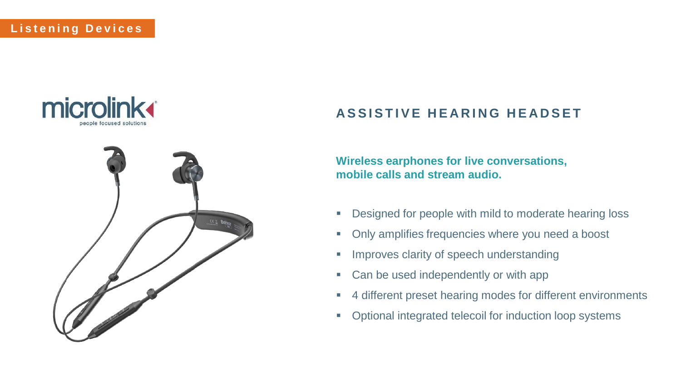



# **ASSISTIVE HEARING HEADSET**

**Wireless earphones for live conversations, mobile calls and stream audio.**

- Designed for people with mild to moderate hearing loss
- Only amplifies frequencies where you need a boost
- **■** Improves clarity of speech understanding
- Can be used independently or with app
- 4 different preset hearing modes for different environments
- Optional integrated telecoil for induction loop systems